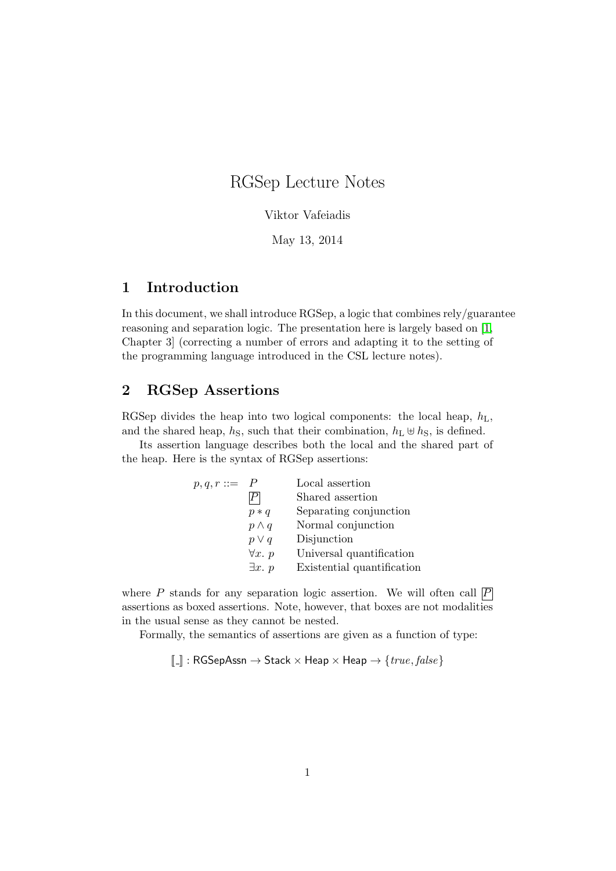# RGSep Lecture Notes

Viktor Vafeiadis

May 13, 2014

### 1 Introduction

In this document, we shall introduce RGSep, a logic that combines rely/guarantee reasoning and separation logic. The presentation here is largely based on [\[1,](#page-14-0) Chapter 3] (correcting a number of errors and adapting it to the setting of the programming language introduced in the CSL lecture notes).

### 2 RGSep Assertions

RGSep divides the heap into two logical components: the local heap,  $h_L$ , and the shared heap,  $h<sub>S</sub>$ , such that their combination,  $h<sub>L</sub> \oplus h<sub>S</sub>$ , is defined.

Its assertion language describes both the local and the shared part of the heap. Here is the syntax of RGSep assertions:

| $p,q,r ::= P$ |                | Local assertion            |
|---------------|----------------|----------------------------|
|               |                | Shared assertion           |
|               | $p * q$        | Separating conjunction     |
|               | $p \wedge q$   | Normal conjunction         |
|               | $p \vee q$     | Disjunction                |
|               | $\forall x. p$ | Universal quantification   |
|               | $\exists x. p$ | Existential quantification |

where P stands for any separation logic assertion. We will often call  $\overline{P}$ assertions as boxed assertions. Note, however, that boxes are not modalities in the usual sense as they cannot be nested.

Formally, the semantics of assertions are given as a function of type:

 $[\![ . ]\!] : \mathsf{RGSepAssn} \to \mathsf{Stack} \times \mathsf{Heap} \times \mathsf{Heap} \to \{\mathit{true},\mathit{false}\}$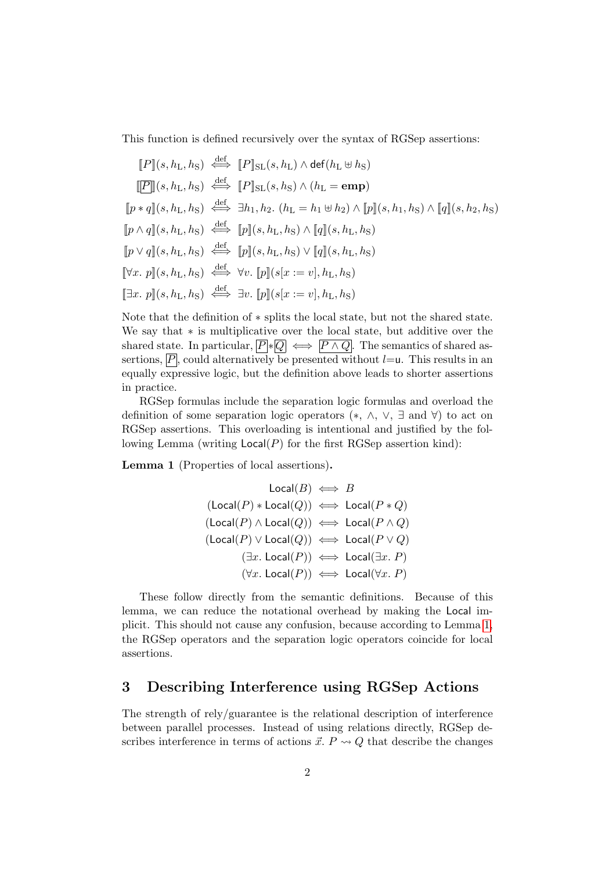This function is defined recursively over the syntax of RGSep assertions:

$$
[P](s, h_L, h_S) \stackrel{\text{def}}{\iff} [P]_{\text{SL}}(s, h_L) \wedge \text{def}(h_L \oplus h_S)
$$
  
\n
$$
[P](s, h_L, h_S) \stackrel{\text{def}}{\iff} [P]_{\text{SL}}(s, h_S) \wedge (h_L = \text{emp})
$$
  
\n
$$
[p * q](s, h_L, h_S) \stackrel{\text{def}}{\iff} \exists h_1, h_2. (h_L = h_1 \oplus h_2) \wedge [p](s, h_1, h_S) \wedge [q](s, h_2, h_S)
$$
  
\n
$$
[p \wedge q](s, h_L, h_S) \stackrel{\text{def}}{\iff} [p](s, h_L, h_S) \wedge [q](s, h_L, h_S)
$$
  
\n
$$
[p \vee q](s, h_L, h_S) \stackrel{\text{def}}{\iff} [p](s, h_L, h_S) \vee [q](s, h_L, h_S)
$$
  
\n
$$
[\forall x. p](s, h_L, h_S) \stackrel{\text{def}}{\iff} \forall v. [p](s[x := v], h_L, h_S)
$$
  
\n
$$
[\exists x. p](s, h_L, h_S) \stackrel{\text{def}}{\iff} \exists v. [p](s[x := v], h_L, h_S)
$$

Note that the definition of ∗ splits the local state, but not the shared state. We say that ∗ is multiplicative over the local state, but additive over the shared state. In particular,  $\overline{P}$  \*  $\overline{Q}$   $\iff$   $\overline{P \wedge Q}$ . The semantics of shared assertions,  $\overline{P}$ , could alternatively be presented without  $l = u$ . This results in an equally expressive logic, but the definition above leads to shorter assertions in practice.

RGSep formulas include the separation logic formulas and overload the definition of some separation logic operators (∗, ∧, ∨, ∃ and ∀) to act on RGSep assertions. This overloading is intentional and justified by the following Lemma (writing  $Local(P)$  for the first RGSep assertion kind):

<span id="page-1-0"></span>Lemma 1 (Properties of local assertions).

def

$$
\begin{array}{rcl}\n\text{Local}(B) &\Longleftrightarrow & B \\
(\text{Local}(P) * \text{Local}(Q)) &\Longleftrightarrow & \text{Local}(P * Q) \\
(\text{Local}(P) \land \text{Local}(Q)) &\Longleftrightarrow & \text{Local}(P \land Q) \\
(\text{Local}(P) \lor \text{Local}(Q)) &\Longleftrightarrow & \text{Local}(P \lor Q) \\
(\exists x. \text{ Local}(P)) &\Longleftrightarrow & \text{Local}(\exists x. P) \\
(\forall x. \text{Local}(P)) &\Longleftrightarrow & \text{Local}(\forall x. P)\n\end{array}
$$

These follow directly from the semantic definitions. Because of this lemma, we can reduce the notational overhead by making the Local implicit. This should not cause any confusion, because according to Lemma [1,](#page-1-0) the RGSep operators and the separation logic operators coincide for local assertions.

### 3 Describing Interference using RGSep Actions

The strength of rely/guarantee is the relational description of interference between parallel processes. Instead of using relations directly, RGSep describes interference in terms of actions  $\vec{x}$ .  $P \rightsquigarrow Q$  that describe the changes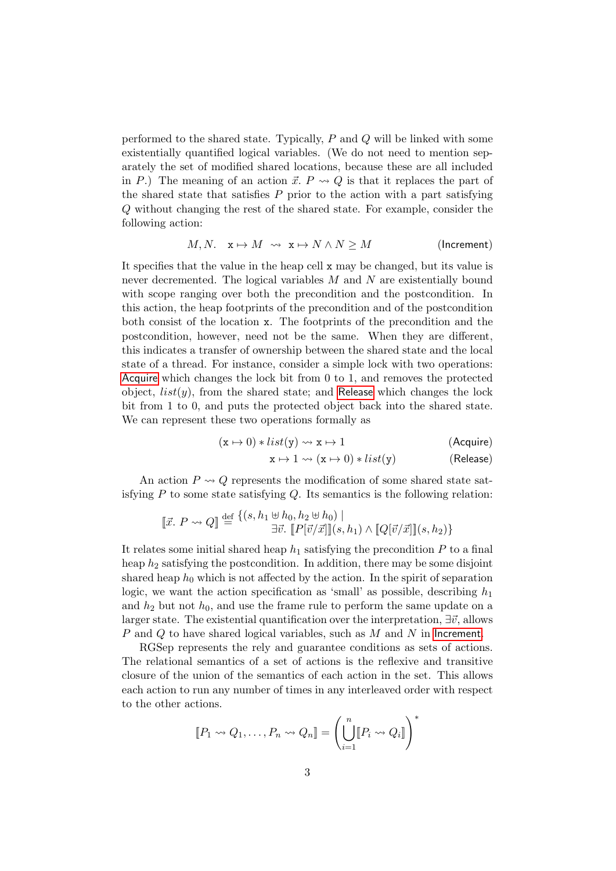performed to the shared state. Typically, P and Q will be linked with some existentially quantified logical variables. (We do not need to mention separately the set of modified shared locations, because these are all included in P.) The meaning of an action  $\vec{x}$ .  $P \rightsquigarrow Q$  is that it replaces the part of the shared state that satisfies  $P$  prior to the action with a part satisfying Q without changing the rest of the shared state. For example, consider the following action:

<span id="page-2-2"></span>
$$
M, N. \quad \mathbf{x} \mapsto M \quad \leadsto \quad \mathbf{x} \mapsto N \land N \ge M \tag{Increment}
$$

It specifies that the value in the heap cell x may be changed, but its value is never decremented. The logical variables M and N are existentially bound with scope ranging over both the precondition and the postcondition. In this action, the heap footprints of the precondition and of the postcondition both consist of the location x. The footprints of the precondition and the postcondition, however, need not be the same. When they are different, this indicates a transfer of ownership between the shared state and the local state of a thread. For instance, consider a simple lock with two operations: [Acquire](#page-2-0) which changes the lock bit from 0 to 1, and removes the protected object,  $list(y)$ , from the shared state; and [Release](#page-2-1) which changes the lock bit from 1 to 0, and puts the protected object back into the shared state. We can represent these two operations formally as

$$
(\mathbf{x} \mapsto 0) * list(\mathbf{y}) \rightsquigarrow \mathbf{x} \mapsto 1 \tag{Acquire}
$$

<span id="page-2-1"></span><span id="page-2-0"></span>
$$
\mathbf{x} \mapsto 1 \rightsquigarrow (\mathbf{x} \mapsto 0) * list(\mathbf{y}) \tag{Release}
$$

An action  $P \rightsquigarrow Q$  represents the modification of some shared state satisfying  $P$  to some state satisfying  $Q$ . Its semantics is the following relation:

$$
\begin{aligned} \llbracket \vec{x}. \ P \leadsto Q \rrbracket \stackrel{\text{def}}{=} \frac{\{(s, h_1 \oplus h_0, h_2 \oplus h_0) \mid}{\exists \vec{v}. \ \llbracket P[\vec{v}/\vec{x}] \rrbracket(s, h_1) \land \llbracket Q[\vec{v}/\vec{x}] \rrbracket(s, h_2) \} \end{aligned}
$$

It relates some initial shared heap  $h_1$  satisfying the precondition P to a final heap  $h_2$  satisfying the postcondition. In addition, there may be some disjoint shared heap  $h_0$  which is not affected by the action. In the spirit of separation logic, we want the action specification as 'small' as possible, describing  $h_1$ and  $h_2$  but not  $h_0$ , and use the frame rule to perform the same update on a larger state. The existential quantification over the interpretation,  $\exists \vec{v}$ , allows P and Q to have shared logical variables, such as M and N in [Increment](#page-2-2).

RGSep represents the rely and guarantee conditions as sets of actions. The relational semantics of a set of actions is the reflexive and transitive closure of the union of the semantics of each action in the set. This allows each action to run any number of times in any interleaved order with respect to the other actions.

$$
\llbracket P_1 \leadsto Q_1, \ldots, P_n \leadsto Q_n \rrbracket = \left( \bigcup_{i=1}^n \llbracket P_i \leadsto Q_i \rrbracket \right)^*
$$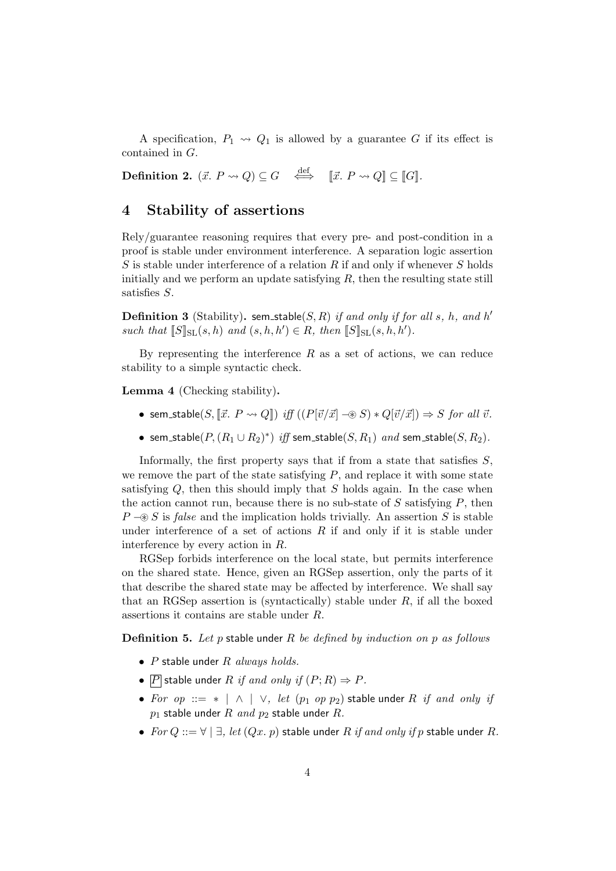A specification,  $P_1 \leadsto Q_1$  is allowed by a guarantee G if its effect is contained in G.

**Definition 2.**  $(\vec{x}, P \rightsquigarrow Q) \subseteq G \iff \llbracket \vec{x}, P \rightsquigarrow Q \rrbracket \subseteq \llbracket G \rrbracket.$ 

#### 4 Stability of assertions

Rely/guarantee reasoning requires that every pre- and post-condition in a proof is stable under environment interference. A separation logic assertion  $S$  is stable under interference of a relation  $R$  if and only if whenever  $S$  holds initially and we perform an update satisfying  $R$ , then the resulting state still satisfies S.

**Definition 3** (Stability). sem\_stable(S, R) if and only if for all s, h, and h' such that  $[S]_{\text{SL}}(s,h)$  and  $(s,h,h') \in R$ , then  $[S]_{\text{SL}}(s,h,h')$ .

By representing the interference  $R$  as a set of actions, we can reduce stability to a simple syntactic check.

Lemma 4 (Checking stability).

- sem\_stable(S,  $[\vec{x}, P \leadsto Q]$ ) iff  $((P[\vec{v}/\vec{x}] \mathcal{R}) * Q[\vec{v}/\vec{x}] \Rightarrow S$  for all  $\vec{v}$ .
- sem\_stable $(P, (R_1 \cup R_2)^*)$  iff sem\_stable $(S, R_1)$  and sem\_stable $(S, R_2)$ .

Informally, the first property says that if from a state that satisfies  $S$ . we remove the part of the state satisfying  $P$ , and replace it with some state satisfying  $Q$ , then this should imply that  $S$  holds again. In the case when the action cannot run, because there is no sub-state of  $S$  satisfying  $P$ , then  $P \rightarrow \mathcal{S}$  is false and the implication holds trivially. An assertion S is stable under interference of a set of actions  $R$  if and only if it is stable under interference by every action in R.

RGSep forbids interference on the local state, but permits interference on the shared state. Hence, given an RGSep assertion, only the parts of it that describe the shared state may be affected by interference. We shall say that an RGSep assertion is (syntactically) stable under  $R$ , if all the boxed assertions it contains are stable under R.

**Definition 5.** Let  $p$  stable under  $R$  be defined by induction on  $p$  as follows

- $P$  stable under  $R$  always holds.
- $\boxed{P}$  stable under R if and only if  $(P; R) \Rightarrow P$ .
- For op ::= \* | ∧ | ∨, let  $(p_1 \text{ op } p_2)$  stable under R if and only if  $p_1$  stable under R and  $p_2$  stable under R.
- For  $Q ::= \forall \mid \exists$ , let  $(Qx, p)$  stable under R if and only if p stable under R.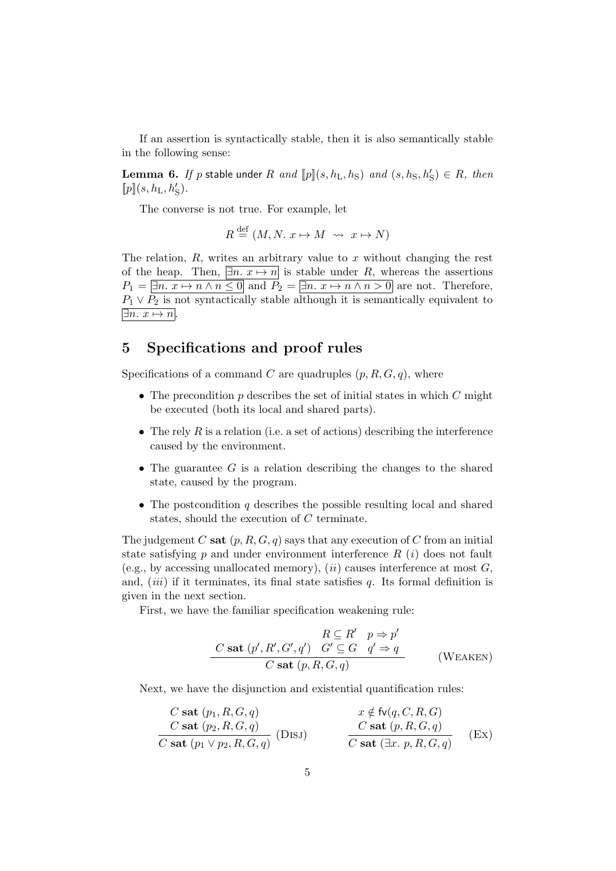If an assertion is syntactically stable, then it is also semantically stable in the following sense:

**Lemma 6.** If p stable under R and  $[\![p]\!](s, h_L, h_S)$  and  $(s, h_S, h_S') \in R$ , then  $[\![p]\!](s,h_{\rm L},h'_{\rm S}) .$ 

The converse is not true. For example, let

$$
R \stackrel{\text{def}}{=} (M, N, x \mapsto M \rightsquigarrow x \mapsto N)
$$

The relation,  $R$ , writes an arbitrary value to x without changing the rest of the heap. Then,  $\exists n.\ x \mapsto n$  is stable under R, whereas the assertions  $P_1 = \overline{\exists n \ldots x \mapsto n \wedge n \leq 0}$  and  $P_2 = \overline{\exists n \ldots x \mapsto n \wedge n > 0}$  are not. Therefore,  $P_1 \vee P_2$  is not syntactically stable although it is semantically equivalent to  $\exists n.\; x \mapsto n.$ 

### 5 Specifications and proof rules

Specifications of a command C are quadruples  $(p, R, G, q)$ , where

- The precondition  $p$  describes the set of initial states in which  $C$  might be executed (both its local and shared parts).
- The rely R is a relation (i.e. a set of actions) describing the interference caused by the environment.
- The guarantee  $G$  is a relation describing the changes to the shared state, caused by the program.
- The postcondition  $q$  describes the possible resulting local and shared states, should the execution of C terminate.

The judgement C sat  $(p, R, G, q)$  says that any execution of C from an initial state satisfying  $p$  and under environment interference  $R(i)$  does not fault (e.g., by accessing unallocated memory), (*ii*) causes interference at most  $G$ , and,  $(iii)$  if it terminates, its final state satisfies  $q$ . Its formal definition is given in the next section.

First, we have the familiar specification weakening rule:

$$
R \subseteq R' \quad p \Rightarrow p'
$$
  
\n
$$
C \text{ sat } (p', R', G', q') \quad G' \subseteq G \quad q' \Rightarrow q
$$
  
\n
$$
C \text{ sat } (p, R, G, q)
$$
 (WEAKEN)

Next, we have the disjunction and existential quantification rules:

$$
\frac{C \text{ sat } (p_1, R, G, q)}{C \text{ sat } (p_2, R, G, q)} \qquad \qquad \frac{x \notin \text{fv}(q, C, R, G)}{C \text{ sat } (p, R, G, q)} \qquad \qquad \frac{C \text{ sat } (p, R, G, q)}{C \text{ sat } (\exists x. p, R, G, q)} \qquad \text{(Ex)}
$$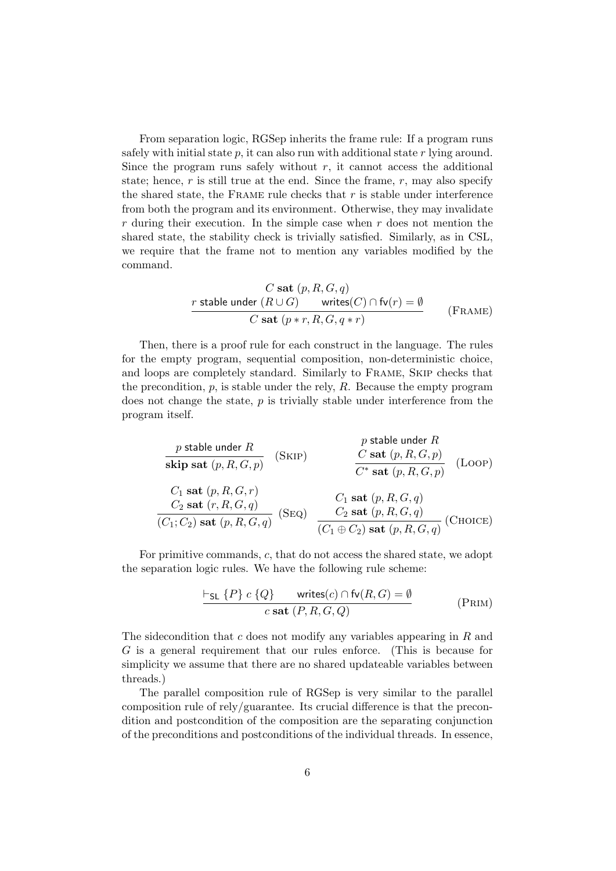From separation logic, RGSep inherits the frame rule: If a program runs safely with initial state  $p$ , it can also run with additional state  $r$  lying around. Since the program runs safely without  $r$ , it cannot access the additional state; hence,  $r$  is still true at the end. Since the frame,  $r$ , may also specify the shared state, the FRAME rule checks that  $r$  is stable under interference from both the program and its environment. Otherwise, they may invalidate  $r$  during their execution. In the simple case when  $r$  does not mention the shared state, the stability check is trivially satisfied. Similarly, as in CSL, we require that the frame not to mention any variables modified by the command.

$$
\cfrac{C \text{ sat } (p, R, G, q)}{r \text{ stable under } (R \cup G) \qquad \text{writes}(C) \cap \text{fv}(r) = \emptyset}
$$
\n
$$
\cfrac{C \text{ sat } (p * r, R, G, q * r)}{C \text{ sat } (p * r, R, G, q * r)}
$$
\n(FRAME)

Then, there is a proof rule for each construct in the language. The rules for the empty program, sequential composition, non-deterministic choice, and loops are completely standard. Similarly to Frame, Skip checks that the precondition,  $p$ , is stable under the rely,  $R$ . Because the empty program does not change the state,  $p$  is trivially stable under interference from the program itself.

| $p$ stable under $R$            | $p$ stable under $R$       |                           |                          |
|---------------------------------|----------------------------|---------------------------|--------------------------|
| $\text{skip sat}(p, R, G, p)$   | $\text{C sat}(p, R, G, p)$ | $\text{Cast}(p, R, G, p)$ | $\text{(Loop)}$          |
| $C_1$ sat $(p, R, G, r)$        | $C_1$ sat $(p, R, G, q)$   | $\text{Cat}(p, R, G, q)$  | $\text{Cat}(p, R, G, q)$ |
| $(C_1; C_2)$ sat $(p, R, G, q)$ | $\text{Cat}(p, R, G, q)$   | $\text{Cat}(p, R, G, q)$  | $\text{Cat}(p, R, G, q)$ |

For primitive commands, c, that do not access the shared state, we adopt the separation logic rules. We have the following rule scheme:

$$
\frac{\vdash_{\mathsf{SL}} \{P\} \ c \ \{Q\}}{\qquad \qquad c \ \mathbf{sat} \ (P, R, G, Q)}
$$
 (PRIM)

The sidecondition that c does not modify any variables appearing in R and G is a general requirement that our rules enforce. (This is because for simplicity we assume that there are no shared updateable variables between threads.)

The parallel composition rule of RGSep is very similar to the parallel composition rule of rely/guarantee. Its crucial difference is that the precondition and postcondition of the composition are the separating conjunction of the preconditions and postconditions of the individual threads. In essence,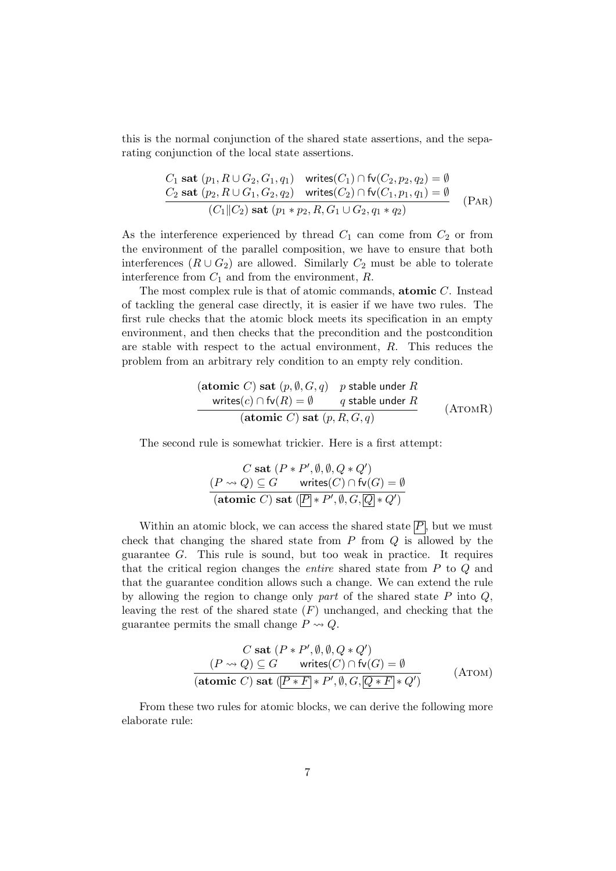this is the normal conjunction of the shared state assertions, and the separating conjunction of the local state assertions.

$$
C_1 \text{ sat } (p_1, R \cup G_2, G_1, q_1) \quad \text{writes}(C_1) \cap \text{fv}(C_2, p_2, q_2) = \emptyset
$$
\n
$$
C_2 \text{ sat } (p_2, R \cup G_1, G_2, q_2) \quad \text{writes}(C_2) \cap \text{fv}(C_1, p_1, q_1) = \emptyset
$$
\n
$$
(C_1 || C_2) \text{ sat } (p_1 * p_2, R, G_1 \cup G_2, q_1 * q_2) \quad \text{(PAR)}
$$

As the interference experienced by thread  $C_1$  can come from  $C_2$  or from the environment of the parallel composition, we have to ensure that both interferences  $(R \cup G_2)$  are allowed. Similarly  $C_2$  must be able to tolerate interference from  $C_1$  and from the environment,  $R$ .

The most complex rule is that of atomic commands, **atomic**  $C$ . Instead of tackling the general case directly, it is easier if we have two rules. The first rule checks that the atomic block meets its specification in an empty environment, and then checks that the precondition and the postcondition are stable with respect to the actual environment, R. This reduces the problem from an arbitrary rely condition to an empty rely condition.

$$
\begin{array}{ll}\n\textbf{(atomic } C) \textbf{ sat } (p, \emptyset, G, q) & p \textbf{ stable under } R \\
\textbf{writes}(c) \cap \textbf{fv}(R) = \emptyset & q \textbf{ stable under } R \\
\hline\n\textbf{(atomic } C) \textbf{ sat } (p, R, G, q)\n\end{array} \tag{ATOMR}
$$

The second rule is somewhat trickier. Here is a first attempt:

$$
C \text{ sat } (P * P', \emptyset, \emptyset, Q * Q')
$$
  

$$
\underbrace{(P \rightsquigarrow Q) \subseteq G}_{\text{(atomic } C) \text{ sat }} \underbrace{(P \mid * P', \emptyset, G, \overline{Q} \mid * Q')}_{\text{(460 mic } C) \text{ sat }} \underbrace{(P \mid * P', \emptyset, G, \overline{Q} \mid * Q')}
$$

Within an atomic block, we can access the shared state  $\overline{P}$ , but we must check that changing the shared state from  $P$  from  $Q$  is allowed by the guarantee G. This rule is sound, but too weak in practice. It requires that the critical region changes the entire shared state from P to Q and that the guarantee condition allows such a change. We can extend the rule by allowing the region to change only part of the shared state  $P$  into  $Q$ , leaving the rest of the shared state  $(F)$  unchanged, and checking that the guarantee permits the small change  $P \rightsquigarrow Q$ .

$$
C \text{ sat } (P * P', \emptyset, \emptyset, Q * Q')
$$
  
\n
$$
(P \rightsquigarrow Q) \subseteq G \quad \text{writes}(C) \cap \text{fv}(G) = \emptyset
$$
  
\n
$$
\overline{\text{(atomic C) sat } (P * F] * P', \emptyset, G, \overline{[Q * F]} * Q'}
$$
\n
$$
\text{(ATomic)}
$$

From these two rules for atomic blocks, we can derive the following more elaborate rule: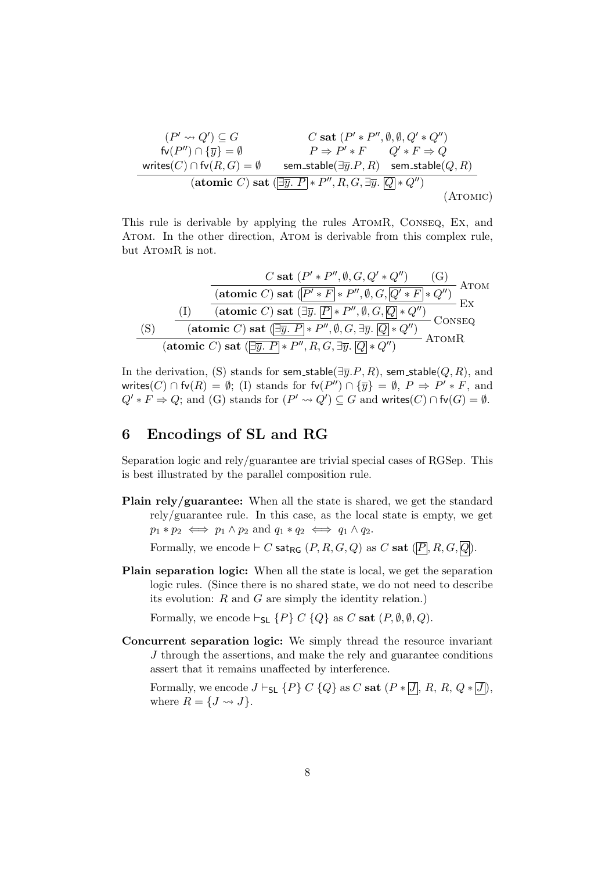$$
(P' \leadsto Q') \subseteq G
$$
  
\n
$$
\mathsf{fv}(P'') \cap \{\overline{y}\} = \emptyset
$$
  
\n
$$
\mathsf{write}(C) \cap \mathsf{fv}(R, G) = \emptyset
$$
  
\n
$$
\mathsf{vertices}(C) \cap \mathsf{fv}(R, G) = \emptyset
$$
  
\n
$$
\mathsf{sent\_stable}(\exists \overline{y}. P, R) \quad \mathsf{sem\_stable}(Q, R)
$$
  
\n
$$
(\mathsf{atomic}\ C) \mathsf{sat}(\exists \overline{y}. P) * P'', R, G, \exists \overline{y}. \boxed{Q} * Q'')
$$
  
\n
$$
(\mathsf{ATOMIC})
$$

This rule is derivable by applying the rules AtomR, Conseq, Ex, and Atom. In the other direction, Atom is derivable from this complex rule, but ATOMR is not.

$$
\frac{C \text{ sat } (P' * P'', \emptyset, G, Q' * Q'') \qquad (G)}{\text{(atomic } C) \text{ sat } (\overline{P' * F} * P'', \emptyset, G, \overline{Q' * F} * Q'')}
$$
 Arom  
\n(I) 
$$
\frac{I}{I} \qquad \qquad \text{(atomic } C) \text{ sat } (\exists \overline{y}, \overline{P} * P'', \emptyset, G, \overline{Q} * Q'') \qquad \qquad \text{Ex}
$$
\n(S) 
$$
\frac{I}{I} \qquad \qquad \text{(atomic } C) \text{ sat } (\exists \overline{y}, P * P'', \emptyset, G, \exists \overline{y}, \overline{Q} * Q'') \qquad \qquad \text{CONSEQ}
$$
\n(atomic  $C) \text{ sat } (\exists \overline{y}, P * P'', R, G, \exists \overline{y}, \overline{Q} * Q'') \qquad \qquad \text{ATomIR}$ 

In the derivation, (S) stands for sem\_stable( $\exists \overline{y}.P, R$ ), sem\_stable( $Q, R$ ), and writes(C)  $\cap$  fv(R) =  $\emptyset$ ; (I) stands for fv(P'')  $\cap$  { $\overline{y}$ } =  $\emptyset$ , P  $\Rightarrow$  P'  $*$  F, and  $Q' * F \Rightarrow Q$ ; and (G) stands for  $(P' \rightsquigarrow Q') \subseteq G$  and writes(C)  $\cap$  fv(G) =  $\emptyset$ .

### 6 Encodings of SL and RG

Separation logic and rely/guarantee are trivial special cases of RGSep. This is best illustrated by the parallel composition rule.

Plain rely/guarantee: When all the state is shared, we get the standard rely/guarantee rule. In this case, as the local state is empty, we get  $p_1 * p_2 \iff p_1 \land p_2 \text{ and } q_1 * q_2 \iff q_1 \land q_2.$ 

Formally, we encode  $\vdash C$  sat<sub>RG</sub>  $(P, R, G, Q)$  as C sat  $(\overline{P}, R, G, \overline{Q})$ .

Plain separation logic: When all the state is local, we get the separation logic rules. (Since there is no shared state, we do not need to describe its evolution:  $R$  and  $G$  are simply the identity relation.)

Formally, we encode  $\vdash_{\mathsf{SL}} \{P\} C \{Q\}$  as C sat  $(P, \emptyset, \emptyset, Q)$ .

Concurrent separation logic: We simply thread the resource invariant J through the assertions, and make the rely and guarantee conditions assert that it remains unaffected by interference.

Formally, we encode  $J \vdash_{\mathsf{SL}} \{P\} C \{Q\}$  as C sat  $(P * [\overline{J}], R, R, Q * [\overline{J}]),$ where  $R = \{J \leadsto J\}.$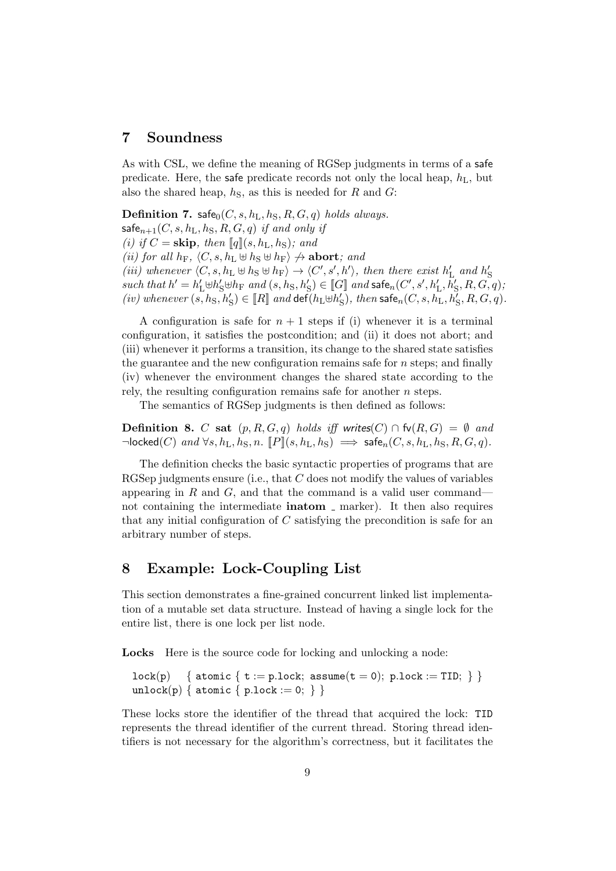#### 7 Soundness

As with CSL, we define the meaning of RGSep judgments in terms of a safe predicate. Here, the safe predicate records not only the local heap,  $h_{\text{L}}$ , but also the shared heap,  $h<sub>S</sub>$ , as this is needed for R and G:

Definition 7. safe $_0(C, s, h_L, h_S, R, G, q)$  holds always.  $\mathsf{safe}_{n+1}(C, s, h_L, h_S, R, G, q)$  if and only if (i) if  $C =$  skip, then  $\llbracket q \rrbracket(s, h_L, h_S)$ ; and (ii) for all  $h_F$ ,  $\langle C, s, h_L \uplus h_S \uplus h_F \rangle \nightharpoonup$  abort; and (iii) whenever  $\langle C, s, h_L \uplus h_S \uplus h_F \rangle \rightarrow \langle C', s', h' \rangle$ , then there exist  $h'_L$  and  $h'_S$  $such\ that\ h'=h'_{\mathrm{L}}\uplus h'_{\mathrm{S}}\uplus h_{\mathrm{F}}\ and\ (s,h_{\mathrm{S}},h'_{\mathrm{S}})\in \llbracket G\rrbracket\ and\ \textsf{safe}_n(C',s',h'_{\mathrm{L}},h'_{\mathrm{S}},R,G,q),$ (iv) whenever  $(s, h_S, h'_S) \in [R]$  and  $\det(h_L \oplus h'_S)$ , then safe<sub>n</sub> $(C, s, h_L, h'_S, R, G, q)$ .

A configuration is safe for  $n + 1$  steps if (i) whenever it is a terminal configuration, it satisfies the postcondition; and (ii) it does not abort; and (iii) whenever it performs a transition, its change to the shared state satisfies the guarantee and the new configuration remains safe for  $n$  steps; and finally (iv) whenever the environment changes the shared state according to the rely, the resulting configuration remains safe for another *n* steps.

The semantics of RGSep judgments is then defined as follows:

**Definition 8.** C sat  $(p, R, G, q)$  holds iff writes(C) ∩ fv(R, G) =  $\emptyset$  and  $\neg$ locked(C) and  $\forall s, h_L, h_S, n$ .  $[ P | (s, h_L, h_S) \implies$  safe $_n(C, s, h_L, h_S, R, G, q)$ .

The definition checks the basic syntactic properties of programs that are RGSep judgments ensure (i.e., that C does not modify the values of variables appearing in  $R$  and  $G$ , and that the command is a valid user command not containing the intermediate **inatom** marker). It then also requires that any initial configuration of  $C$  satisfying the precondition is safe for an arbitrary number of steps.

#### 8 Example: Lock-Coupling List

This section demonstrates a fine-grained concurrent linked list implementation of a mutable set data structure. Instead of having a single lock for the entire list, there is one lock per list node.

Locks Here is the source code for locking and unlocking a node:

```
lock(p) \quad \{ atomic \{ t := p.lock; assume(t = 0); p.lock := TID; \} \}unlock(p) { atomic { p.log(x := 0; ) }
```
These locks store the identifier of the thread that acquired the lock: TID represents the thread identifier of the current thread. Storing thread identifiers is not necessary for the algorithm's correctness, but it facilitates the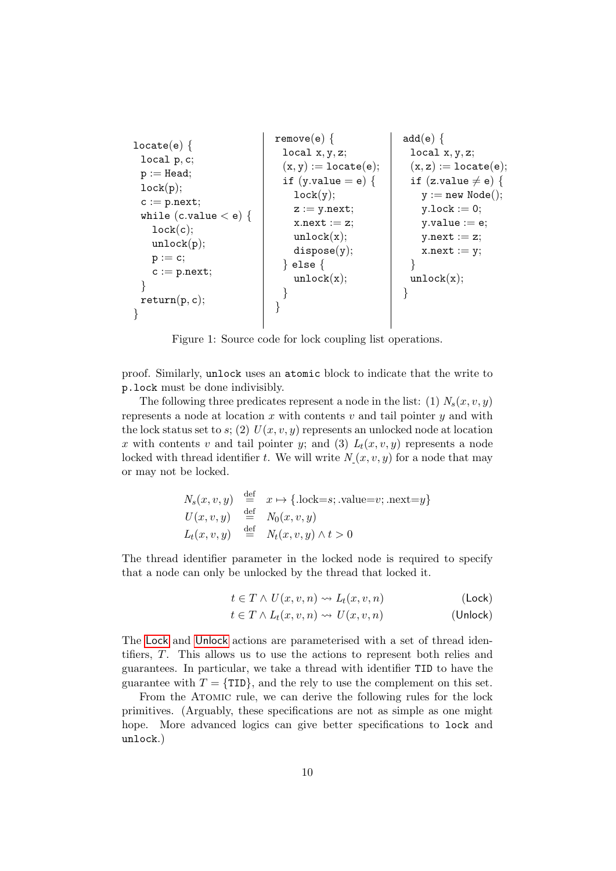remove(e) { add(e) { locate(e) { local x, y, z; local x, y, z; local p, c; (x, y) := locate(e); (x, z) := locate(e); p := Head; if (y.value = e) { if (z.value 6= e) { lock(p); lock(y); y := new Node(); c := p.next; z := y.next; y.lock := 0; while (c.value < e) { x.next := z; y.value := e; lock(c); unlock(x); y.next := z; unlock(p); dispose(y); x.next := y; p := c; } else { } c := p.next; unlock(x); unlock(x); } } } return(p, c); } } 

<span id="page-9-2"></span>Figure 1: Source code for lock coupling list operations.

proof. Similarly, unlock uses an atomic block to indicate that the write to p.lock must be done indivisibly.

The following three predicates represent a node in the list: (1)  $N_s(x, v, y)$ represents a node at location  $x$  with contents  $v$  and tail pointer  $y$  and with the lock status set to s; (2)  $U(x, v, y)$  represents an unlocked node at location x with contents v and tail pointer y; and (3)  $L_t(x, v, y)$  represents a node locked with thread identifier t. We will write  $N(x, v, y)$  for a node that may or may not be locked.

$$
N_s(x, v, y) \stackrel{\text{def}}{=} x \mapsto \{\text{.lock} = s; \text{ .value} = v; \text{ .next} = y\}
$$
  
\n
$$
U(x, v, y) \stackrel{\text{def}}{=} N_0(x, v, y)
$$
  
\n
$$
L_t(x, v, y) \stackrel{\text{def}}{=} N_t(x, v, y) \wedge t > 0
$$

The thread identifier parameter in the locked node is required to specify that a node can only be unlocked by the thread that locked it.

<span id="page-9-1"></span><span id="page-9-0"></span>
$$
t \in T \land U(x, v, n) \leadsto L_t(x, v, n)
$$
 (Lock)

$$
t \in T \wedge L_t(x, v, n) \leadsto U(x, v, n) \tag{Unlock}
$$

The [Lock](#page-9-0) and [Unlock](#page-9-1) actions are parameterised with a set of thread identifiers, T. This allows us to use the actions to represent both relies and guarantees. In particular, we take a thread with identifier TID to have the guarantee with  $T = \{TID\}$ , and the rely to use the complement on this set.

From the ATOMIC rule, we can derive the following rules for the lock primitives. (Arguably, these specifications are not as simple as one might hope. More advanced logics can give better specifications to lock and unlock.)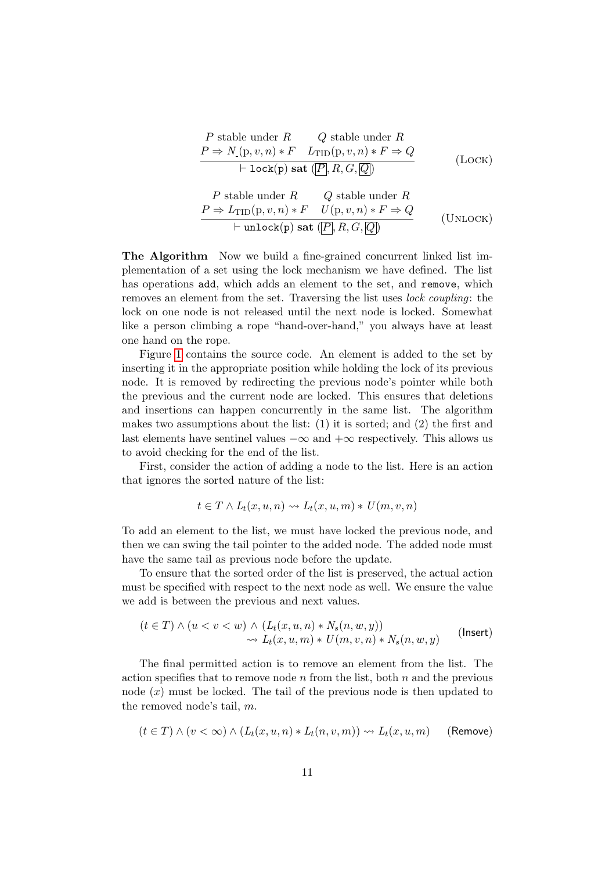$$
P \text{ stable under } R
$$
\n
$$
P \Rightarrow N_{\cdot}(p, v, n) * F L_{\text{TID}}(p, v, n) * F \Rightarrow Q
$$
\n
$$
+ \text{lock}(p) \text{ sat } (\overline{P}, R, G, \overline{Q})
$$
\n
$$
P \text{ stable under } R
$$
\n
$$
P \Rightarrow L_{\text{TID}}(p, v, n) * F U(p, v, n) * F \Rightarrow Q
$$
\n
$$
+ \text{unlock}(p) \text{ sat } (\overline{P}, R, G, \overline{Q})
$$
\n
$$
(U_{\text{NLOCK}})
$$

The Algorithm Now we build a fine-grained concurrent linked list implementation of a set using the lock mechanism we have defined. The list has operations add, which adds an element to the set, and remove, which removes an element from the set. Traversing the list uses lock coupling: the lock on one node is not released until the next node is locked. Somewhat like a person climbing a rope "hand-over-hand," you always have at least one hand on the rope.

Figure [1](#page-9-2) contains the source code. An element is added to the set by inserting it in the appropriate position while holding the lock of its previous node. It is removed by redirecting the previous node's pointer while both the previous and the current node are locked. This ensures that deletions and insertions can happen concurrently in the same list. The algorithm makes two assumptions about the list: (1) it is sorted; and (2) the first and last elements have sentinel values  $-\infty$  and  $+\infty$  respectively. This allows us to avoid checking for the end of the list.

First, consider the action of adding a node to the list. Here is an action that ignores the sorted nature of the list:

<span id="page-10-0"></span>
$$
t \in T \wedge L_t(x, u, n) \leadsto L_t(x, u, m) * U(m, v, n)
$$

To add an element to the list, we must have locked the previous node, and then we can swing the tail pointer to the added node. The added node must have the same tail as previous node before the update.

To ensure that the sorted order of the list is preserved, the actual action must be specified with respect to the next node as well. We ensure the value we add is between the previous and next values.

$$
(t \in T) \land (u < v < w) \land (L_t(x, u, n) * N_s(n, w, y))
$$
\n
$$
\leadsto L_t(x, u, m) * U(m, v, n) * N_s(n, w, y) \qquad \text{(Insert)}
$$

The final permitted action is to remove an element from the list. The action specifies that to remove node n from the list, both  $n$  and the previous node  $(x)$  must be locked. The tail of the previous node is then updated to the removed node's tail, m.

<span id="page-10-1"></span>
$$
(t \in T) \land (v < \infty) \land (L_t(x, u, n) * L_t(n, v, m)) \leadsto L_t(x, u, m) \qquad (\text{Remove})
$$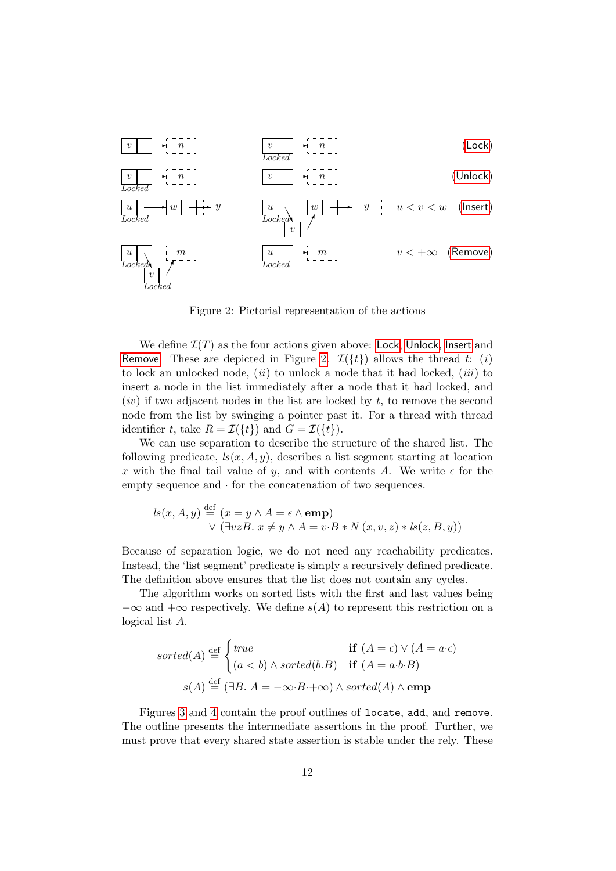

<span id="page-11-0"></span>Figure 2: Pictorial representation of the actions

We define  $\mathcal{I}(T)$  as the four actions given above: [Lock](#page-9-0), [Unlock](#page-9-1), [Insert](#page-10-0) and [Remove](#page-10-1). These are depicted in Figure [2.](#page-11-0)  $\mathcal{I}(\{t\})$  allows the thread t: (i) to lock an unlocked node,  $(ii)$  to unlock a node that it had locked,  $(iii)$  to insert a node in the list immediately after a node that it had locked, and  $(iv)$  if two adjacent nodes in the list are locked by t, to remove the second node from the list by swinging a pointer past it. For a thread with thread identifier t, take  $R = \mathcal{I}(\{t\})$  and  $G = \mathcal{I}(\{t\})$ .

We can use separation to describe the structure of the shared list. The following predicate,  $ls(x, A, y)$ , describes a list segment starting at location x with the final tail value of y, and with contents A. We write  $\epsilon$  for the empty sequence and  $\cdot$  for the concatenation of two sequences.

$$
ls(x, A, y) \stackrel{\text{def}}{=} (x = y \land A = \epsilon \land \text{emp})
$$
  
 
$$
\lor (\exists vzB. x \neq y \land A = v \cdot B * N_{\Box}(x, v, z) * ls(z, B, y))
$$

Because of separation logic, we do not need any reachability predicates. Instead, the 'list segment' predicate is simply a recursively defined predicate. The definition above ensures that the list does not contain any cycles.

The algorithm works on sorted lists with the first and last values being  $-\infty$  and  $+\infty$  respectively. We define  $s(A)$  to represent this restriction on a logical list A.

$$
sorted(A) \stackrel{\text{def}}{=} \begin{cases} true & \text{if } (A = \epsilon) \lor (A = a \cdot \epsilon) \\ (a < b) \land sorted(b.B) & \text{if } (A = a \cdot b \cdot B) \end{cases}
$$
\n
$$
s(A) \stackrel{\text{def}}{=} (\exists B. \ A = -\infty \cdot B \cdot + \infty) \land sorted(A) \land \text{emp}
$$

Figures [3](#page-12-0) and [4](#page-13-0) contain the proof outlines of locate, add, and remove. The outline presents the intermediate assertions in the proof. Further, we must prove that every shared state assertion is stable under the rely. These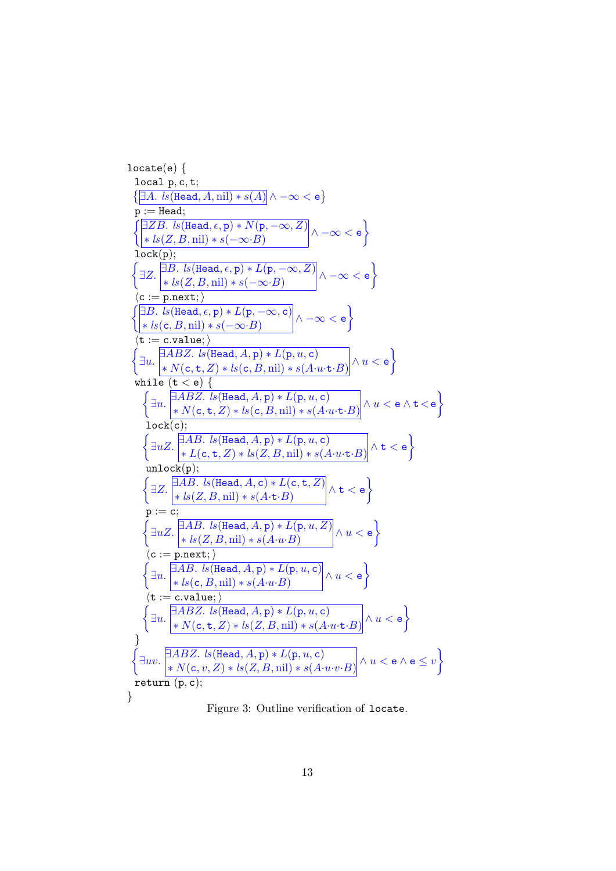locate(e) { local p, c, t; ∃A. ls(Head, A, nil) ∗ s(A) ∧ −∞ < e p := Head; ∃ZB. ls(Head, , p) ∗ N(p, −∞, Z) ∗ ls(Z, B, nil) ∗ s(−∞·B) ∧ −∞ < e lock(p); <sup>∃</sup>Z. <sup>∃</sup>B. ls(Head, , <sup>p</sup>) <sup>∗</sup> <sup>L</sup>(p, −∞, Z) ∗ ls(Z, B, nil) ∗ s(−∞·B) ∧ −∞ < e hc := p.next;i ∃B. ls(Head, , p) ∗ L(p, −∞, c) ∗ ls(c, B, nil) ∗ s(−∞·B) ∧ −∞ < e ht := c.value;i ∃u. ∃ABZ. ls(Head, A, p) ∗ L(p, u, c) ∗ N(c, t, Z) ∗ ls(c, B, nil) ∗ s(A·u·t·B) ∧ u < e while (t < e) { ∃u. ∃ABZ. ls(Head, A, p) ∗ L(p, u, c) ∗ N(c, t, Z) ∗ ls(c, B, nil) ∗ s(A·u·t·B) ∧ u < e ∧ t<e lock(c); <sup>∃</sup>uZ. <sup>∃</sup>AB. ls(Head, A, <sup>p</sup>) <sup>∗</sup> <sup>L</sup>(p, u, <sup>c</sup>) ∗ L(c, t, Z) ∗ ls(Z, B, nil) ∗ s(A·u·t·B) ∧ t < e unlock(p); <sup>∃</sup>Z. <sup>∃</sup>AB. ls(Head, A, <sup>c</sup>) <sup>∗</sup> <sup>L</sup>(c, <sup>t</sup>, Z) ∗ ls(Z, B, nil) ∗ s(A·t·B) ∧ t < e p := c; <sup>∃</sup>uZ. <sup>∃</sup>AB. ls(Head, A, <sup>p</sup>) <sup>∗</sup> <sup>L</sup>(p, u, Z) ∗ ls(Z, B, nil) ∗ s(A·u·B) ∧ u < e hc := p.next;i ∃u. ∃AB. ls(Head, A, p) ∗ L(p, u, c) ∗ ls(c, B, nil) ∗ s(A·u·B) ∧ u < e ht := c.value;i ∃u. ∃ABZ. ls(Head, A, p) ∗ L(p, u, c) ∗ N(c, t, Z) ∗ ls(Z, B, nil) ∗ s(A·u·t·B) ∧ u < e } ∃uv. ∃ABZ. ls(Head, A, p) ∗ L(p, u, c) ∗ N(c, v, Z) ∗ ls(Z, B, nil) ∗ s(A·u·v·B) ∧ u < e ∧ e ≤ v return (p, c); }

<span id="page-12-0"></span>Figure 3: Outline verification of locate.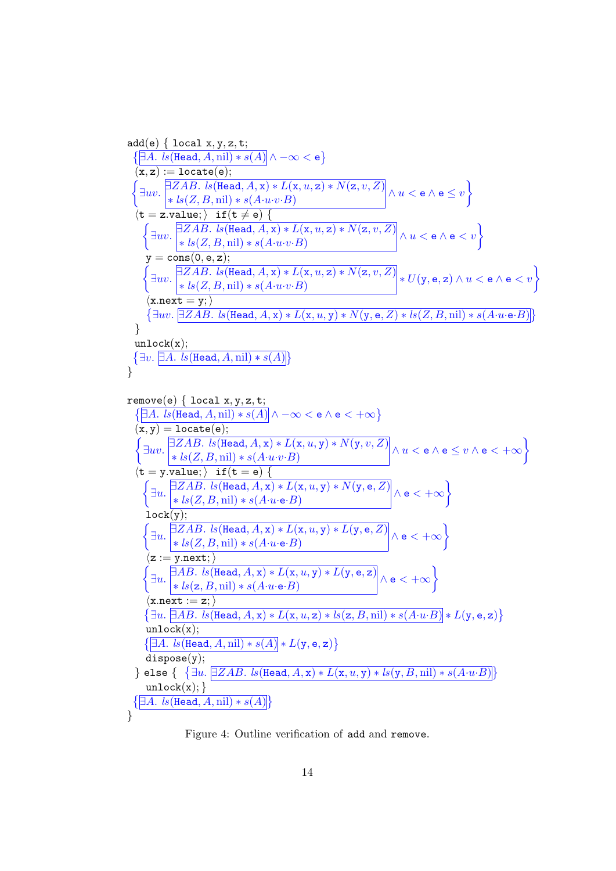add(e) { local x, y, z, t; ∃A. ls(Head, A, nil) ∗ s(A) ∧ −∞ < e (x, z) := locate(e); ∃uv. ∃ZAB. ls(Head, A, x) ∗ L(x, u, z) ∗ N(z, v, Z) ∗ ls(Z, B, nil) ∗ s(A·u·v·B) ∧ u < e ∧ e ≤ v ht = z.value;i if(t 6= e) { ∃uv. ∃ZAB. ls(Head, A, x) ∗ L(x, u, z) ∗ N(z, v, Z) ∗ ls(Z, B, nil) ∗ s(A·u·v·B) <sup>∧</sup> u < <sup>e</sup> <sup>∧</sup> <sup>e</sup> < v y = cons(0, e, z); ∃uv. ∃ZAB. ls(Head, A, x) ∗ L(x, u, z) ∗ N(z, v, Z) ∗ ls(Z, B, nil) ∗ s(A·u·v·B) <sup>∗</sup> <sup>U</sup>(y, <sup>e</sup>, <sup>z</sup>) <sup>∧</sup> u < <sup>e</sup> <sup>∧</sup> <sup>e</sup> < v hx.next = y;i ∃uv. ∃ZAB. ls(Head, A, x) ∗ L(x, u, y) ∗ N(y, e, Z) ∗ ls(Z, B, nil) ∗ s(A·u·e·B) } unlock(x); ∃v. ∃A. ls(Head, A, nil) ∗ s(A) } remove(e) { local x, y, z, t; ∃A. ls(Head, A, nil) ∗ s(A) ∧ −∞ < e ∧ e < +∞ (x, y) = locate(e); ∃uv. ∃ZAB. ls(Head, A, x) ∗ L(x, u, y) ∗ N(y, v, Z) ∗ ls(Z, B, nil) ∗ s(A·u·v·B) ∧ u < e ∧ e ≤ v ∧ e < +∞ ht = y.value;i if(t = e) { ∃u. ∃ZAB. ls(Head, A, x) ∗ L(x, u, y) ∗ N(y, e, Z) ∗ ls(Z, B, nil) ∗ s(A·u·e·B) ∧ e < +∞ lock(y); ∃u. ∃ZAB. ls(Head, A, x) ∗ L(x, u, y) ∗ L(y, e, Z) ∗ ls(Z, B, nil) ∗ s(A·u·e·B) ∧ e < +∞ hz := y.next;i ∃u. ∃AB. ls(Head, A, x) ∗ L(x, u, y) ∗ L(y, e, z) ∗ ls(z, B, nil) ∗ s(A·u·e·B) ∧ e < +∞ hx.next := z;i ∃u. ∃AB. ls(Head, A, x) ∗ L(x, u, z) ∗ ls(z, B, nil) ∗ s(A·u·B) ∗ L(y, e, z) unlock(x); ∃A. ls(Head, A, nil) ∗ s(A) ∗ L(y, e, z) dispose(y); } else { ∃u. ∃ZAB. ls(Head, A, x) ∗ L(x, u, y) ∗ ls(y, B, nil) ∗ s(A·u·B) unlock(x); } ∃A. ls(Head, A, nil) ∗ s(A) }

<span id="page-13-0"></span>Figure 4: Outline verification of add and remove.